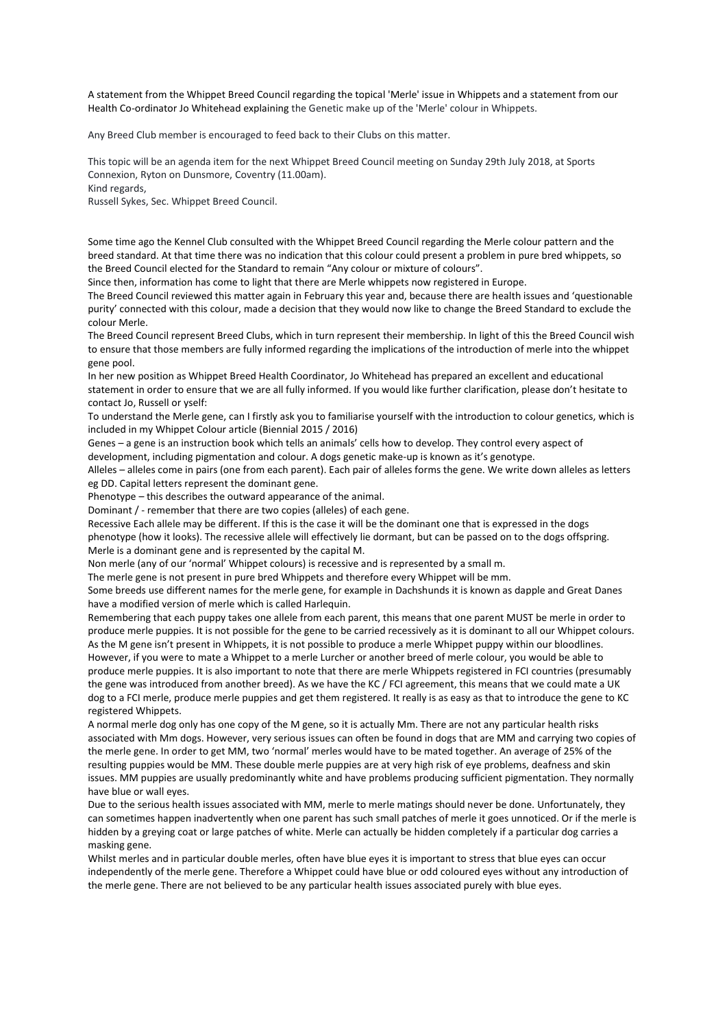A statement from the Whippet Breed Council regarding the topical 'Merle' issue in Whippets and a statement from our Health Co-ordinator Jo Whitehead explaining the Genetic make up of the 'Merle' colour in Whippets.

Any Breed Club member is encouraged to feed back to their Clubs on this matter.

This topic will be an agenda item for the next Whippet Breed Council meeting on Sunday 29th July 2018, at Sports Connexion, Ryton on Dunsmore, Coventry (11.00am).

Kind regards,

Russell Sykes, Sec. Whippet Breed Council.

Some time ago the Kennel Club consulted with the Whippet Breed Council regarding the Merle colour pattern and the breed standard. At that time there was no indication that this colour could present a problem in pure bred whippets, so the Breed Council elected for the Standard to remain "Any colour or mixture of colours".

Since then, information has come to light that there are Merle whippets now registered in Europe.

The Breed Council reviewed this matter again in February this year and, because there are health issues and 'questionable purity' connected with this colour, made a decision that they would now like to change the Breed Standard to exclude the colour Merle.

The Breed Council represent Breed Clubs, which in turn represent their membership. In light of this the Breed Council wish to ensure that those members are fully informed regarding the implications of the introduction of merle into the whippet gene pool.

In her new position as Whippet Breed Health Coordinator, Jo Whitehead has prepared an excellent and educational statement in order to ensure that we are all fully informed. If you would like further clarification, please don't hesitate to contact Jo, Russell or yself:

To understand the Merle gene, can I firstly ask you to familiarise yourself with the introduction to colour genetics, which is included in my Whippet Colour article (Biennial 2015 / 2016)

Genes – a gene is an instruction book which tells an animals' cells how to develop. They control every aspect of development, including pigmentation and colour. A dogs genetic make-up is known as it's genotype.

Alleles – alleles come in pairs (one from each parent). Each pair of alleles forms the gene. We write down alleles as letters eg DD. Capital letters represent the dominant gene.

Phenotype – this describes the outward appearance of the animal.

Dominant / - remember that there are two copies (alleles) of each gene.

Recessive Each allele may be different. If this is the case it will be the dominant one that is expressed in the dogs phenotype (how it looks). The recessive allele will effectively lie dormant, but can be passed on to the dogs offspring. Merle is a dominant gene and is represented by the capital M.

Non merle (any of our 'normal' Whippet colours) is recessive and is represented by a small m.

The merle gene is not present in pure bred Whippets and therefore every Whippet will be mm.

Some breeds use different names for the merle gene, for example in Dachshunds it is known as dapple and Great Danes have a modified version of merle which is called Harlequin.

Remembering that each puppy takes one allele from each parent, this means that one parent MUST be merle in order to produce merle puppies. It is not possible for the gene to be carried recessively as it is dominant to all our Whippet colours. As the M gene isn't present in Whippets, it is not possible to produce a merle Whippet puppy within our bloodlines. However, if you were to mate a Whippet to a merle Lurcher or another breed of merle colour, you would be able to produce merle puppies. It is also important to note that there are merle Whippets registered in FCI countries (presumably the gene was introduced from another breed). As we have the KC / FCI agreement, this means that we could mate a UK dog to a FCI merle, produce merle puppies and get them registered. It really is as easy as that to introduce the gene to KC registered Whippets.

A normal merle dog only has one copy of the M gene, so it is actually Mm. There are not any particular health risks associated with Mm dogs. However, very serious issues can often be found in dogs that are MM and carrying two copies of the merle gene. In order to get MM, two 'normal' merles would have to be mated together. An average of 25% of the resulting puppies would be MM. These double merle puppies are at very high risk of eye problems, deafness and skin issues. MM puppies are usually predominantly white and have problems producing sufficient pigmentation. They normally have blue or wall eyes.

Due to the serious health issues associated with MM, merle to merle matings should never be done. Unfortunately, they can sometimes happen inadvertently when one parent has such small patches of merle it goes unnoticed. Or if the merle is hidden by a greying coat or large patches of white. Merle can actually be hidden completely if a particular dog carries a masking gene.

Whilst merles and in particular double merles, often have blue eyes it is important to stress that blue eyes can occur independently of the merle gene. Therefore a Whippet could have blue or odd coloured eyes without any introduction of the merle gene. There are not believed to be any particular health issues associated purely with blue eyes.